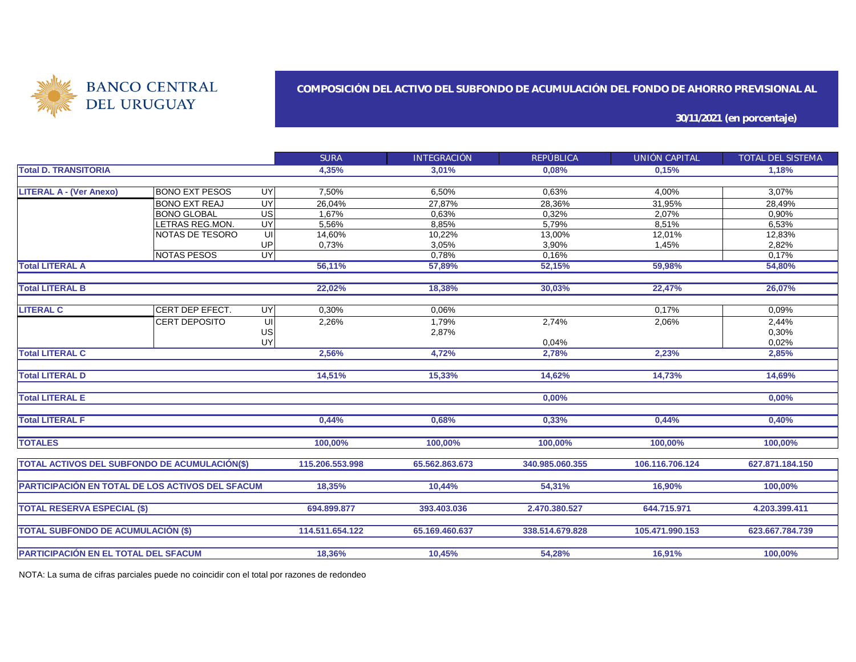

#### **COMPOSICIÓN DEL ACTIVO DEL SUBFONDO DE ACUMULACIÓN DEL FONDO DE AHORRO PREVISIONAL AL**

**30/11/2021 (en porcentaje)**

|                                                         |                        |                 | <b>SURA</b>     | INTEGRACIÓN    | REPÚBLICA       | UNIÓN CAPITAL   | TOTAL DEL SISTEMA |
|---------------------------------------------------------|------------------------|-----------------|-----------------|----------------|-----------------|-----------------|-------------------|
| <b>Total D. TRANSITORIA</b>                             |                        |                 | 4,35%           | 3,01%          | 0.08%           | 0.15%           | 1,18%             |
|                                                         |                        |                 |                 |                |                 |                 |                   |
| <b>LITERAL A - (Ver Anexo)</b>                          | <b>BONO EXT PESOS</b>  | UY              | 7,50%           | 6,50%          | 0,63%           | 4,00%           | 3,07%             |
|                                                         | <b>BONO EXT REAJ</b>   | UY              | 26,04%          | 27,87%         | 28,36%          | 31,95%          | 28,49%            |
|                                                         | <b>BONO GLOBAL</b>     | $\overline{US}$ | 1,67%           | 0.63%          | 0,32%           | 2,07%           | 0,90%             |
|                                                         | LETRAS REG.MON.        | UY              | 5,56%           | 8,85%          | 5,79%           | 8,51%           | 6,53%             |
|                                                         | NOTAS DE TESORO        | UI              | 14,60%          | 10,22%         | 13,00%          | 12,01%          | 12,83%            |
|                                                         |                        | UP              | 0,73%           | 3,05%          | 3,90%           | 1,45%           | 2,82%             |
|                                                         | <b>NOTAS PESOS</b>     | UY              |                 | 0,78%          | 0,16%           |                 | 0,17%             |
| <b>Total LITERAL A</b>                                  |                        |                 | 56,11%          | 57,89%         | 52,15%          | 59,98%          | 54,80%            |
| <b>Total LITERAL B</b>                                  |                        |                 | 22,02%          | 18,38%         | 30,03%          | 22,47%          | 26,07%            |
|                                                         |                        |                 |                 |                |                 |                 |                   |
| <b>LITERAL C</b>                                        | <b>CERT DEP EFECT.</b> | UY              | 0,30%           | 0,06%          |                 | 0.17%           | 0,09%             |
|                                                         | ICERT DEPOSITO         | UI              | 2,26%           | 1,79%          | 2,74%           | 2,06%           | 2,44%             |
|                                                         |                        | US              |                 | 2,87%          |                 |                 | 0,30%             |
|                                                         |                        | UY              |                 |                | 0,04%           |                 | 0,02%             |
| <b>Total LITERAL C</b>                                  |                        |                 | 2,56%           | 4,72%          | 2,78%           | 2,23%           | 2,85%             |
| <b>Total LITERAL D</b>                                  |                        |                 | 14,51%          | 15,33%         | 14,62%          | 14,73%          | 14,69%            |
| <b>Total LITERAL E</b>                                  |                        |                 |                 |                | 0,00%           |                 | 0,00%             |
| <b>Total LITERAL F</b>                                  |                        |                 | 0,44%           | 0,68%          | 0,33%           | 0,44%           | 0,40%             |
| <b>TOTALES</b>                                          |                        |                 | 100,00%         | 100,00%        | 100,00%         | 100,00%         | 100,00%           |
| TOTAL ACTIVOS DEL SUBFONDO DE ACUMULACIÓN(\$)           |                        |                 | 115.206.553.998 | 65.562.863.673 | 340.985.060.355 | 106.116.706.124 | 627.871.184.150   |
| <b>PARTICIPACIÓN EN TOTAL DE LOS ACTIVOS DEL SFACUM</b> |                        |                 | 18.35%          | 10,44%         | 54,31%          | 16,90%          | 100,00%           |
|                                                         |                        |                 |                 |                |                 |                 |                   |
| <b>TOTAL RESERVA ESPECIAL (\$)</b>                      |                        |                 | 694.899.877     | 393.403.036    | 2.470.380.527   | 644.715.971     | 4.203.399.411     |
| <b>TOTAL SUBFONDO DE ACUMULACIÓN (\$)</b>               |                        |                 | 114.511.654.122 | 65.169.460.637 | 338.514.679.828 | 105.471.990.153 | 623.667.784.739   |
| PARTICIPACIÓN EN EL TOTAL DEL SFACUM                    |                        |                 | 18,36%          | 10,45%         | 54,28%          | 16,91%          | 100,00%           |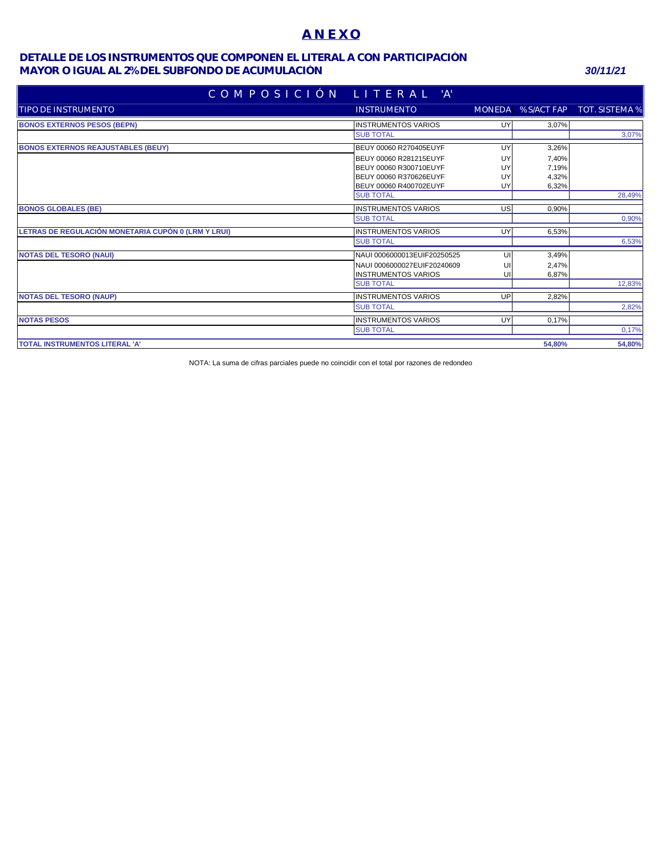## **A N E X O**

### **MAYOR O IGUAL AL 2% DEL SUBFONDO DE ACUMULACIÓN** *30/11/21* **DETALLE DE LOS INSTRUMENTOS QUE COMPONEN EL LITERAL A CON PARTICIPACIÓN**

| COMPOSICIÓN LITERAL 'A'                             |                             |    |                    |                |
|-----------------------------------------------------|-----------------------------|----|--------------------|----------------|
| Itipo de instrumento                                | <b>INSTRUMENTO</b>          |    | MONEDA % S/ACT FAP | TOT. SISTEMA % |
| <b>BONOS EXTERNOS PESOS (BEPN)</b>                  | <b>INSTRUMENTOS VARIOS</b>  | UY | 3,07%              |                |
|                                                     | <b>SUB TOTAL</b>            |    |                    | 3,07%          |
| <b>BONOS EXTERNOS REAJUSTABLES (BEUY)</b>           | BEUY 00060 R270405EUYF      | UY | 3,26%              |                |
|                                                     | BEUY 00060 R281215EUYF      | UY | 7,40%              |                |
|                                                     | BEUY 00060 R300710EUYF      | UY | 7,19%              |                |
|                                                     | BEUY 00060 R370626EUYF      | UY | 4,32%              |                |
|                                                     | BEUY 00060 R400702EUYF      | UY | 6,32%              |                |
|                                                     | <b>SUB TOTAL</b>            |    |                    | 28,49%         |
| <b>BONOS GLOBALES (BE)</b>                          | <b>INSTRUMENTOS VARIOS</b>  | US | 0,90%              |                |
|                                                     | <b>SUB TOTAL</b>            |    |                    | 0,90%          |
| LETRAS DE REGULACIÓN MONETARIA CUPÓN 0 (LRM Y LRUI) | <b>INSTRUMENTOS VARIOS</b>  | UY | 6,53%              |                |
|                                                     | <b>SUB TOTAL</b>            |    |                    | 6,53%          |
| <b>NOTAS DEL TESORO (NAUI)</b>                      | NAUI 0006000013EUIF20250525 | UI | 3,49%              |                |
|                                                     | NAUI 0006000027EUIF20240609 | U  | 2,47%              |                |
|                                                     | <b>INSTRUMENTOS VARIOS</b>  | UI | 6,87%              |                |
|                                                     | <b>SUB TOTAL</b>            |    |                    | 12,83%         |
| <b>NOTAS DEL TESORO (NAUP)</b>                      | <b>INSTRUMENTOS VARIOS</b>  | UP | 2,82%              |                |
|                                                     | <b>SUB TOTAL</b>            |    |                    | 2,82%          |
| <b>NOTAS PESOS</b>                                  | <b>INSTRUMENTOS VARIOS</b>  | UY | 0,17%              |                |
|                                                     | <b>SUB TOTAL</b>            |    |                    | 0,17%          |
| TOTAL INSTRUMENTOS LITERAL 'A'                      |                             |    | 54.80%             | 54,80%         |
|                                                     |                             |    |                    |                |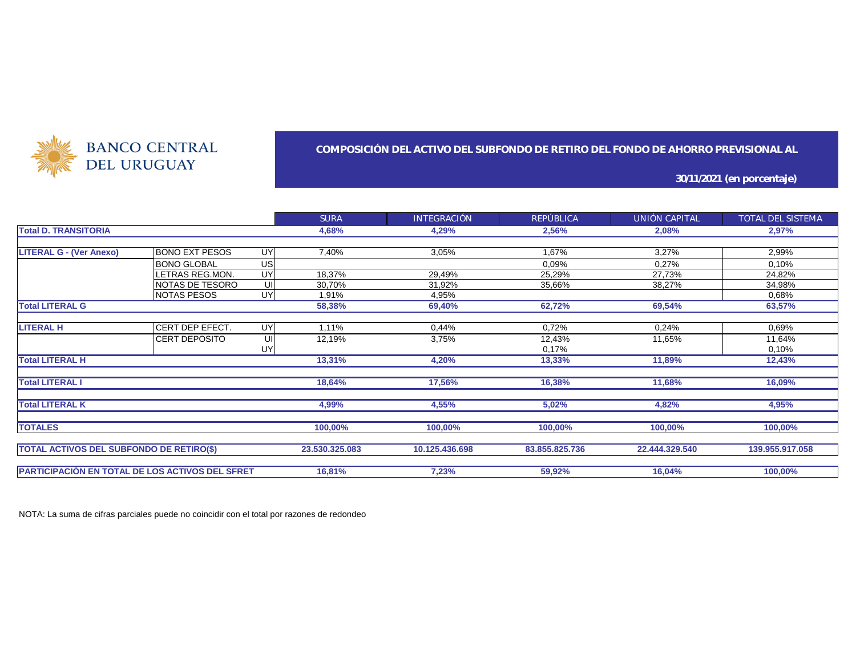

### **COMPOSICIÓN DEL ACTIVO DEL SUBFONDO DE RETIRO DEL FONDO DE AHORRO PREVISIONAL AL**

**30/11/2021 (en porcentaje)**

|                                                 |                       |    | <b>SURA</b>    | <b>INTEGRACIÓN</b> | REPÚBLICA      | UNIÓN CAPITAL  | TOTAL DEL SISTEMA |
|-------------------------------------------------|-----------------------|----|----------------|--------------------|----------------|----------------|-------------------|
| <b>Total D. TRANSITORIA</b>                     |                       |    | 4,68%          | 4,29%              | 2,56%          | 2,08%          | 2,97%             |
|                                                 |                       |    |                |                    |                |                |                   |
| <b>LITERAL G - (Ver Anexo)</b>                  | <b>BONO EXT PESOS</b> | UY | 7,40%          | 3,05%              | 1,67%          | 3,27%          | 2,99%             |
|                                                 | <b>BONO GLOBAL</b>    | US |                |                    | 0.09%          | 0,27%          | 0,10%             |
|                                                 | LETRAS REG.MON.       | UY | 18,37%         | 29,49%             | 25,29%         | 27,73%         | 24,82%            |
|                                                 | NOTAS DE TESORO       | UI | 30,70%         | 31,92%             | 35,66%         | 38,27%         | 34,98%            |
|                                                 | <b>NOTAS PESOS</b>    | UY | 1,91%          | 4,95%              |                |                | 0,68%             |
| <b>Total LITERAL G</b>                          |                       |    | 58,38%         | 69,40%             | 62,72%         | 69,54%         | 63,57%            |
|                                                 |                       |    |                |                    |                |                |                   |
| <b>LITERAL H</b>                                | CERT DEP EFECT.       | UY | 1,11%          | 0,44%              | 0,72%          | 0,24%          | 0,69%             |
|                                                 | <b>CERT DEPOSITO</b>  | UI | 12,19%         | 3,75%              | 12,43%         | 11,65%         | 11,64%            |
|                                                 |                       | UY |                |                    | 0,17%          |                | 0,10%             |
| <b>Total LITERAL H</b>                          |                       |    | 13,31%         | 4,20%              | 13,33%         | 11,89%         | 12,43%            |
|                                                 |                       |    |                |                    |                |                |                   |
| <b>Total LITERAL I</b>                          |                       |    | 18,64%         | 17,56%             | 16,38%         | 11,68%         | 16,09%            |
| <b>Total LITERAL K</b>                          |                       |    | 4,99%          | 4,55%              | 5,02%          | 4,82%          | 4,95%             |
|                                                 |                       |    |                |                    |                |                |                   |
| <b>TOTALES</b>                                  |                       |    | 100,00%        | 100,00%            | 100,00%        | 100,00%        | 100,00%           |
|                                                 |                       |    |                |                    |                |                |                   |
| <b>TOTAL ACTIVOS DEL SUBFONDO DE RETIRO(\$)</b> |                       |    | 23.530.325.083 | 10.125.436.698     | 83.855.825.736 | 22.444.329.540 | 139.955.917.058   |
|                                                 |                       |    |                |                    |                |                |                   |
| PARTICIPACIÓN EN TOTAL DE LOS ACTIVOS DEL SFRET |                       |    | 16,81%         | 7,23%              | 59,92%         | 16,04%         | 100,00%           |